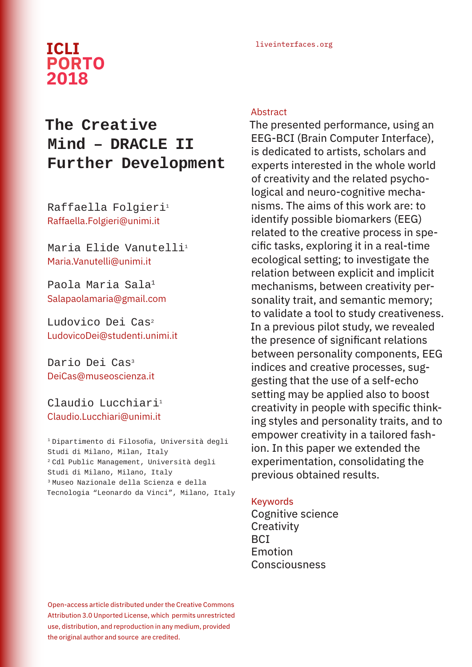## liveinterfaces.org **ICLI PORTO 2018**

# **The Creative Mind – DRACLE II Further Development**

Raffaella Folgieri<sup>1</sup> Raffaella.Folgieri@unimi.it

Maria Flide Vanutelli<sup>1</sup> Maria.Vanutelli@unimi.it

Paola Maria Sala<sup>1</sup> Salapaolamaria@gmail.com

Ludovico Dei Cas2 LudovicoDei@studenti.unimi.it

Dario Dei Cas<sup>3</sup> DeiCas@museoscienza.it

Claudio Lucchiari<sup>1</sup> Claudio.Lucchiari@unimi.it

<sup>1</sup>Dipartimento di Filosofia, Università degli Studi di Milano, Milan, Italy <sup>2</sup> Cdl Public Management, Università degli Studi di Milano, Milano, Italy 3 Museo Nazionale della Scienza e della Tecnologia "Leonardo da Vinci", Milano, Italy

## Abstract

The presented performance, using an EEG-BCI (Brain Computer Interface), is dedicated to artists, scholars and experts interested in the whole world of creativity and the related psychological and neuro-cognitive mechanisms. The aims of this work are: to identify possible biomarkers (EEG) related to the creative process in specific tasks, exploring it in a real-time ecological setting; to investigate the relation between explicit and implicit mechanisms, between creativity personality trait, and semantic memory; to validate a tool to study creativeness. In a previous pilot study, we revealed the presence of significant relations between personality components, EEG indices and creative processes, suggesting that the use of a self-echo setting may be applied also to boost creativity in people with specific thinking styles and personality traits, and to empower creativity in a tailored fashion. In this paper we extended the experimentation, consolidating the previous obtained results.

## Keywords

Cognitive science **Creativity** BCI Emotion Consciousness

Open-access article distributed under the Creative Commons Attribution 3.0 Unported License, which permits unrestricted use, distribution, and reproduction in any medium, provided the original author and source are credited.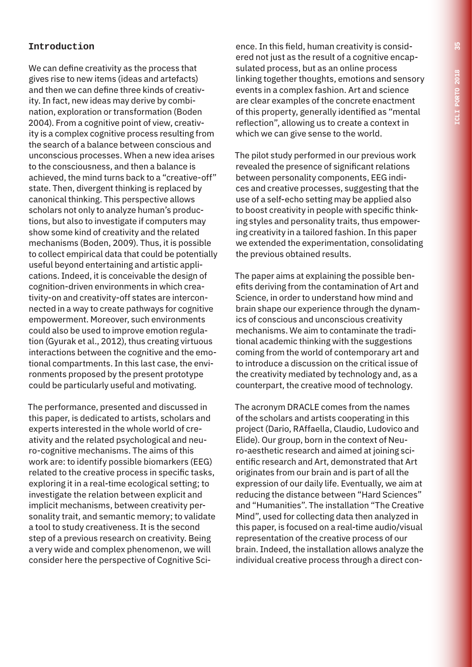## **Introduction**

We can define creativity as the process that gives rise to new items (ideas and artefacts) and then we can define three kinds of creativity. In fact, new ideas may derive by combination, exploration or transformation (Boden 2004). From a cognitive point of view, creativity is a complex cognitive process resulting from the search of a balance between conscious and unconscious processes. When a new idea arises to the consciousness, and then a balance is achieved, the mind turns back to a "creative-off" state. Then, divergent thinking is replaced by canonical thinking. This perspective allows scholars not only to analyze human's productions, but also to investigate if computers may show some kind of creativity and the related mechanisms (Boden, 2009). Thus, it is possible to collect empirical data that could be potentially useful beyond entertaining and artistic applications. Indeed, it is conceivable the design of cognition-driven environments in which creativity-on and creativity-off states are interconnected in a way to create pathways for cognitive empowerment. Moreover, such environments could also be used to improve emotion regulation (Gyurak et al., 2012), thus creating virtuous interactions between the cognitive and the emotional compartments. In this last case, the environments proposed by the present prototype could be particularly useful and motivating.

The performance, presented and discussed in this paper, is dedicated to artists, scholars and experts interested in the whole world of creativity and the related psychological and neuro-cognitive mechanisms. The aims of this work are: to identify possible biomarkers (EEG) related to the creative process in specific tasks, exploring it in a real-time ecological setting; to investigate the relation between explicit and implicit mechanisms, between creativity personality trait, and semantic memory; to validate a tool to study creativeness. It is the second step of a previous research on creativity. Being a very wide and complex phenomenon, we will consider here the perspective of Cognitive Science. In this field, human creativity is considered not just as the result of a cognitive encapsulated process, but as an online process linking together thoughts, emotions and sensory events in a complex fashion. Art and science are clear examples of the concrete enactment of this property, generally identified as "mental reflection", allowing us to create a context in which we can give sense to the world.

The pilot study performed in our previous work revealed the presence of significant relations between personality components, EEG indices and creative processes, suggesting that the use of a self-echo setting may be applied also to boost creativity in people with specific thinking styles and personality traits, thus empowering creativity in a tailored fashion. In this paper we extended the experimentation, consolidating the previous obtained results.

The paper aims at explaining the possible benefits deriving from the contamination of Art and Science, in order to understand how mind and brain shape our experience through the dynamics of conscious and unconscious creativity mechanisms. We aim to contaminate the traditional academic thinking with the suggestions coming from the world of contemporary art and to introduce a discussion on the critical issue of the creativity mediated by technology and, as a counterpart, the creative mood of technology.

The acronym DRACLE comes from the names of the scholars and artists cooperating in this project (Dario, RAffaella, Claudio, Ludovico and Elide). Our group, born in the context of Neuro-aesthetic research and aimed at joining scientific research and Art, demonstrated that Art originates from our brain and is part of all the expression of our daily life. Eventually, we aim at reducing the distance between "Hard Sciences" and "Humanities". The installation "The Creative Mind", used for collecting data then analyzed in this paper, is focused on a real-time audio/visual representation of the creative process of our brain. Indeed, the installation allows analyze the individual creative process through a direct con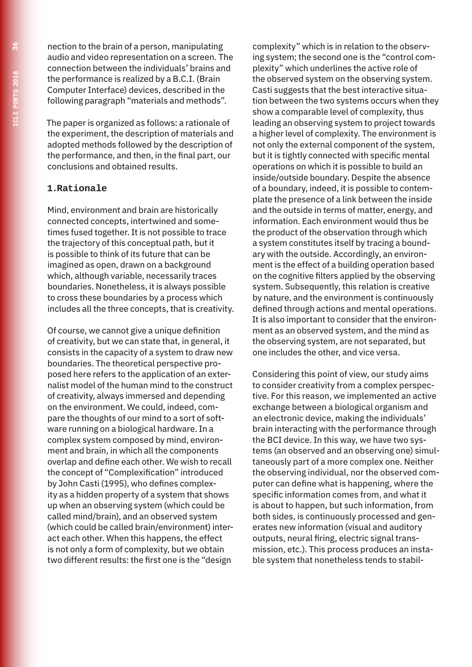nection to the brain of a person, manipulating audio and video representation on a screen. The connection between the individuals' brains and the performance is realized by a B.C.I. (Brain Computer Interface) devices, described in the following paragraph "materials and methods".

The paper is organized as follows: a rationale of the experiment, the description of materials and adopted methods followed by the description of the performance, and then, in the final part, our conclusions and obtained results.

## **1.Rationale**

Mind, environment and brain are historically connected concepts, intertwined and sometimes fused together. It is not possible to trace the trajectory of this conceptual path, but it is possible to think of its future that can be imagined as open, drawn on a background which, although variable, necessarily traces boundaries. Nonetheless, it is always possible to cross these boundaries by a process which includes all the three concepts, that is creativity.

Of course, we cannot give a unique definition of creativity, but we can state that, in general, it consists in the capacity of a system to draw new boundaries. The theoretical perspective proposed here refers to the application of an externalist model of the human mind to the construct of creativity, always immersed and depending on the environment. We could, indeed, compare the thoughts of our mind to a sort of software running on a biological hardware. In a complex system composed by mind, environment and brain, in which all the components overlap and define each other. We wish to recall the concept of "Complexification" introduced by John Casti (1995), who defines complexity as a hidden property of a system that shows up when an observing system (which could be called mind/brain), and an observed system (which could be called brain/environment) interact each other. When this happens, the effect is not only a form of complexity, but we obtain two different results: the first one is the "design

complexity" which is in relation to the observing system; the second one is the "control complexity" which underlines the active role of the observed system on the observing system. Casti suggests that the best interactive situation between the two systems occurs when they show a comparable level of complexity, thus leading an observing system to project towards a higher level of complexity. The environment is not only the external component of the system, but it is tightly connected with specific mental operations on which it is possible to build an inside/outside boundary. Despite the absence of a boundary, indeed, it is possible to contemplate the presence of a link between the inside and the outside in terms of matter, energy, and information. Each environment would thus be the product of the observation through which a system constitutes itself by tracing a boundary with the outside. Accordingly, an environment is the effect of a building operation based on the cognitive filters applied by the observing system. Subsequently, this relation is creative by nature, and the environment is continuously defined through actions and mental operations. It is also important to consider that the environment as an observed system, and the mind as the observing system, are not separated, but one includes the other, and vice versa.

Considering this point of view, our study aims to consider creativity from a complex perspective. For this reason, we implemented an active exchange between a biological organism and an electronic device, making the individuals' brain interacting with the performance through the BCI device. In this way, we have two systems (an observed and an observing one) simultaneously part of a more complex one. Neither the observing individual, nor the observed computer can define what is happening, where the specific information comes from, and what it is about to happen, but such information, from both sides, is continuously processed and generates new information (visual and auditory outputs, neural firing, electric signal transmission, etc.). This process produces an instable system that nonetheless tends to stabil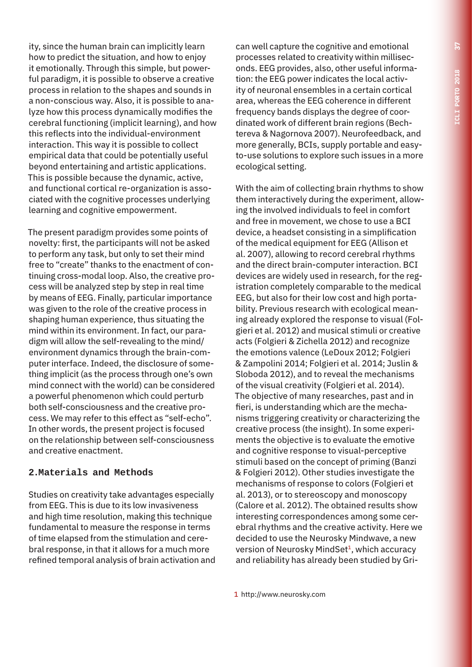ity, since the human brain can implicitly learn how to predict the situation, and how to enjoy it emotionally. Through this simple, but powerful paradigm, it is possible to observe a creative process in relation to the shapes and sounds in a non-conscious way. Also, it is possible to analyze how this process dynamically modifies the cerebral functioning (implicit learning), and how this reflects into the individual-environment interaction. This way it is possible to collect empirical data that could be potentially useful beyond entertaining and artistic applications. This is possible because the dynamic, active, and functional cortical re-organization is associated with the cognitive processes underlying learning and cognitive empowerment.

The present paradigm provides some points of novelty: first, the participants will not be asked to perform any task, but only to set their mind free to "create" thanks to the enactment of continuing cross-modal loop. Also, the creative process will be analyzed step by step in real time by means of EEG. Finally, particular importance was given to the role of the creative process in shaping human experience, thus situating the mind within its environment. In fact, our paradigm will allow the self-revealing to the mind/ environment dynamics through the brain-computer interface. Indeed, the disclosure of something implicit (as the process through one's own mind connect with the world) can be considered a powerful phenomenon which could perturb both self-consciousness and the creative process. We may refer to this effect as "self-echo". In other words, the present project is focused on the relationship between self-consciousness and creative enactment.

## **2.Materials and Methods**

Studies on creativity take advantages especially from EEG. This is due to its low invasiveness and high time resolution, making this technique fundamental to measure the response in terms of time elapsed from the stimulation and cerebral response, in that it allows for a much more refined temporal analysis of brain activation and

can well capture the cognitive and emotional processes related to creativity within milliseconds. EEG provides, also, other useful information: the EEG power indicates the local activity of neuronal ensembles in a certain cortical area, whereas the EEG coherence in different frequency bands displays the degree of coordinated work of different brain regions (Bechtereva & Nagornova 2007). Neurofeedback, and more generally, BCIs, supply portable and easyto-use solutions to explore such issues in a more ecological setting.

With the aim of collecting brain rhythms to show them interactively during the experiment, allowing the involved individuals to feel in comfort and free in movement, we chose to use a BCI device, a headset consisting in a simplification of the medical equipment for EEG (Allison et al. 2007), allowing to record cerebral rhythms and the direct brain-computer interaction. BCI devices are widely used in research, for the registration completely comparable to the medical EEG, but also for their low cost and high portability. Previous research with ecological meaning already explored the response to visual (Folgieri et al. 2012) and musical stimuli or creative acts (Folgieri & Zichella 2012) and recognize the emotions valence (LeDoux 2012; Folgieri & Zampolini 2014; Folgieri et al. 2014; Juslin & Sloboda 2012), and to reveal the mechanisms of the visual creativity (Folgieri et al. 2014). The objective of many researches, past and in fieri, is understanding which are the mechanisms triggering creativity or characterizing the creative process (the insight). In some experiments the objective is to evaluate the emotive and cognitive response to visual-perceptive stimuli based on the concept of priming (Banzi & Folgieri 2012). Other studies investigate the mechanisms of response to colors (Folgieri et al. 2013), or to stereoscopy and monoscopy (Calore et al. 2012). The obtained results show interesting correspondences among some cerebral rhythms and the creative activity. Here we decided to use the Neurosky Mindwave, a new version of Neurosky MindSet<sup>1</sup>, which accuracy and reliability has already been studied by Gri-

1 http://www.neurosky.com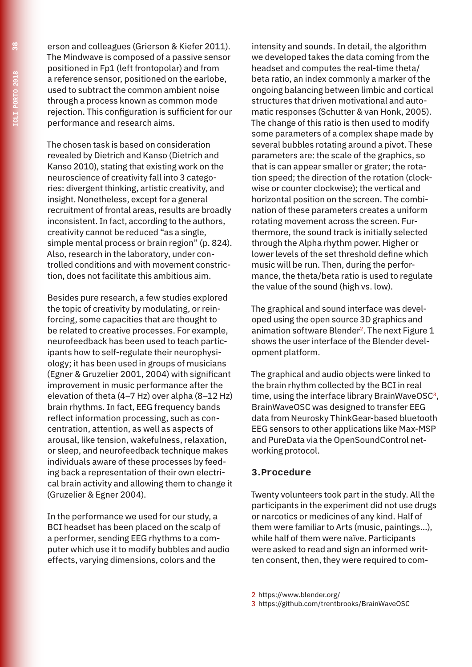erson and colleagues (Grierson & Kiefer 2011). The Mindwave is composed of a passive sensor positioned in Fp1 (left frontopolar) and from a reference sensor, positioned on the earlobe, used to subtract the common ambient noise through a process known as common mode rejection. This configuration is sufficient for our performance and research aims.

The chosen task is based on consideration revealed by Dietrich and Kanso (Dietrich and Kanso 2010), stating that existing work on the neuroscience of creativity fall into 3 categories: divergent thinking, artistic creativity, and insight. Nonetheless, except for a general recruitment of frontal areas, results are broadly inconsistent. In fact, according to the authors, creativity cannot be reduced "as a single, simple mental process or brain region" (p. 824). Also, research in the laboratory, under controlled conditions and with movement constriction, does not facilitate this ambitious aim.

Besides pure research, a few studies explored the topic of creativity by modulating, or reinforcing, some capacities that are thought to be related to creative processes. For example, neurofeedback has been used to teach participants how to self-regulate their neurophysiology; it has been used in groups of musicians (Egner & Gruzelier 2001, 2004) with significant improvement in music performance after the elevation of theta (4–7 Hz) over alpha (8–12 Hz) brain rhythms. In fact, EEG frequency bands reflect information processing, such as concentration, attention, as well as aspects of arousal, like tension, wakefulness, relaxation, or sleep, and neurofeedback technique makes individuals aware of these processes by feeding back a representation of their own electrical brain activity and allowing them to change it (Gruzelier & Egner 2004).

In the performance we used for our study, a BCI headset has been placed on the scalp of a performer, sending EEG rhythms to a computer which use it to modify bubbles and audio effects, varying dimensions, colors and the

intensity and sounds. In detail, the algorithm we developed takes the data coming from the headset and computes the real-time theta/ beta ratio, an index commonly a marker of the ongoing balancing between limbic and cortical structures that driven motivational and automatic responses (Schutter & van Honk, 2005). The change of this ratio is then used to modify some parameters of a complex shape made by several bubbles rotating around a pivot. These parameters are: the scale of the graphics, so that is can appear smaller or grater; the rotation speed; the direction of the rotation (clockwise or counter clockwise); the vertical and horizontal position on the screen. The combination of these parameters creates a uniform rotating movement across the screen. Furthermore, the sound track is initially selected through the Alpha rhythm power. Higher or lower levels of the set threshold define which music will be run. Then, during the performance, the theta/beta ratio is used to regulate the value of the sound (high vs. low).

The graphical and sound interface was developed using the open source 3D graphics and animation software Blender<sup>2</sup>. The next Figure 1 shows the user interface of the Blender development platform.

The graphical and audio objects were linked to the brain rhythm collected by the BCI in real time, using the interface library BrainWaveOSC<sup>3</sup>, BrainWaveOSC was designed to transfer EEG data from Neurosky ThinkGear-based bluetooth EEG sensors to other applications like Max-MSP and PureData via the OpenSoundControl networking protocol.

### **3.Procedure**

Twenty volunteers took part in the study. All the participants in the experiment did not use drugs or narcotics or medicines of any kind. Half of them were familiar to Arts (music, paintings…), while half of them were naïve. Participants were asked to read and sign an informed written consent, then, they were required to com-

2 https://www.blender.org/

3 https://github.com/trentbrooks/BrainWaveOSC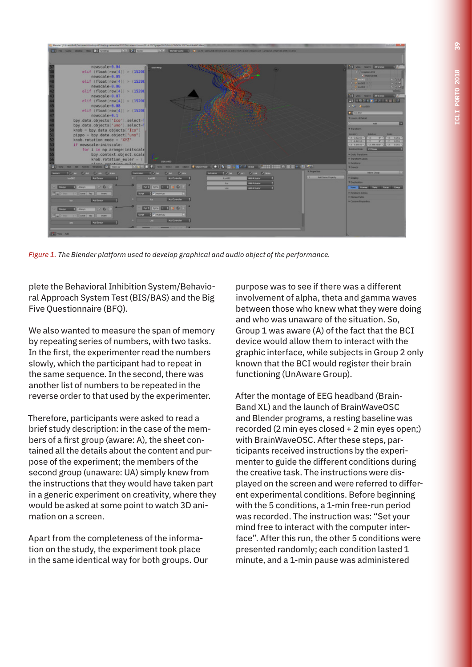

*Figure 1. The Blender platform used to develop graphical and audio object of the performance.*

plete the Behavioral Inhibition System/Behavioral Approach System Test (BIS/BAS) and the Big Five Questionnaire (BFQ).

We also wanted to measure the span of memory by repeating series of numbers, with two tasks. In the first, the experimenter read the numbers slowly, which the participant had to repeat in the same sequence. In the second, there was another list of numbers to be repeated in the reverse order to that used by the experimenter.

Therefore, participants were asked to read a brief study description: in the case of the members of a first group (aware: A), the sheet contained all the details about the content and purpose of the experiment; the members of the second group (unaware: UA) simply knew from the instructions that they would have taken part in a generic experiment on creativity, where they would be asked at some point to watch 3D animation on a screen.

Apart from the completeness of the information on the study, the experiment took place in the same identical way for both groups. Our purpose was to see if there was a different involvement of alpha, theta and gamma waves between those who knew what they were doing and who was unaware of the situation. So, Group 1 was aware (A) of the fact that the BCI device would allow them to interact with the graphic interface, while subjects in Group 2 only known that the BCI would register their brain functioning (UnAware Group).

After the montage of EEG headband (Brain-Band XL) and the launch of BrainWaveOSC and Blender programs, a resting baseline was recorded (2 min eyes closed + 2 min eyes open;) with BrainWaveOSC. After these steps, participants received instructions by the experimenter to guide the different conditions during the creative task. The instructions were displayed on the screen and were referred to different experimental conditions. Before beginning with the 5 conditions, a 1-min free-run period was recorded. The instruction was: "Set your mind free to interact with the computer interface". After this run, the other 5 conditions were presented randomly; each condition lasted 1 minute, and a 1-min pause was administered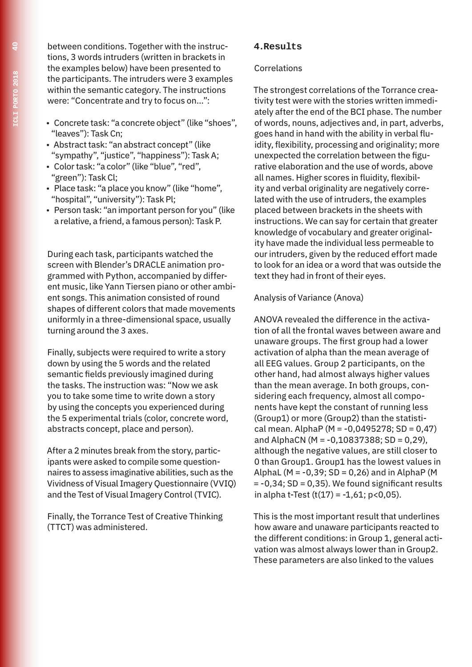between conditions. Together with the instructions, 3 words intruders (written in brackets in the examples below) have been presented to the participants. The intruders were 3 examples within the semantic category. The instructions were: "Concentrate and try to focus on…":

- Concrete task: "a concrete object" (like "shoes", "leaves"): Task Cn;
- Abstract task: "an abstract concept" (like "sympathy", "justice", "happiness"): Task A;
- Color task: "a color" (like "blue", "red", "green"): Task Cl;
- Place task: "a place you know" (like "home", "hospital", "university"): Task Pl;
- Person task: "an important person for you" (like a relative, a friend, a famous person): Task P.

During each task, participants watched the screen with Blender's DRACLE animation programmed with Python, accompanied by different music, like Yann Tiersen piano or other ambient songs. This animation consisted of round shapes of different colors that made movements uniformly in a three-dimensional space, usually turning around the 3 axes.

Finally, subjects were required to write a story down by using the 5 words and the related semantic fields previously imagined during the tasks. The instruction was: "Now we ask you to take some time to write down a story by using the concepts you experienced during the 5 experimental trials (color, concrete word, abstracts concept, place and person).

After a 2 minutes break from the story, participants were asked to compile some questionnaires to assess imaginative abilities, such as the Vividness of Visual Imagery Questionnaire (VVIQ) and the Test of Visual Imagery Control (TVIC).

Finally, the Torrance Test of Creative Thinking (TTCT) was administered.

## **4.Results**

#### Correlations

The strongest correlations of the Torrance creativity test were with the stories written immediately after the end of the BCI phase. The number of words, nouns, adjectives and, in part, adverbs, goes hand in hand with the ability in verbal fluidity, flexibility, processing and originality; more unexpected the correlation between the figurative elaboration and the use of words, above all names. Higher scores in fluidity, flexibility and verbal originality are negatively correlated with the use of intruders, the examples placed between brackets in the sheets with instructions. We can say for certain that greater knowledge of vocabulary and greater originality have made the individual less permeable to our intruders, given by the reduced effort made to look for an idea or a word that was outside the text they had in front of their eyes.

Analysis of Variance (Anova)

ANOVA revealed the difference in the activation of all the frontal waves between aware and unaware groups. The first group had a lower activation of alpha than the mean average of all EEG values. Group 2 participants, on the other hand, had almost always higher values than the mean average. In both groups, considering each frequency, almost all components have kept the constant of running less (Group1) or more (Group2) than the statistical mean. AlphaP ( $M = -0.0495278$ ; SD = 0,47) and AlphaCN ( $M = -0,10837388$ ; SD = 0,29), although the negative values, are still closer to 0 than Group1. Group1 has the lowest values in AlphaL ( $M = -0.39$ ; SD = 0.26) and in AlphaP (M)  $= -0.34$ ; SD = 0.35). We found significant results in alpha t-Test  $(t(17) = -1, 61; p < 0, 05)$ .

This is the most important result that underlines how aware and unaware participants reacted to the different conditions: in Group 1, general activation was almost always lower than in Group2. These parameters are also linked to the values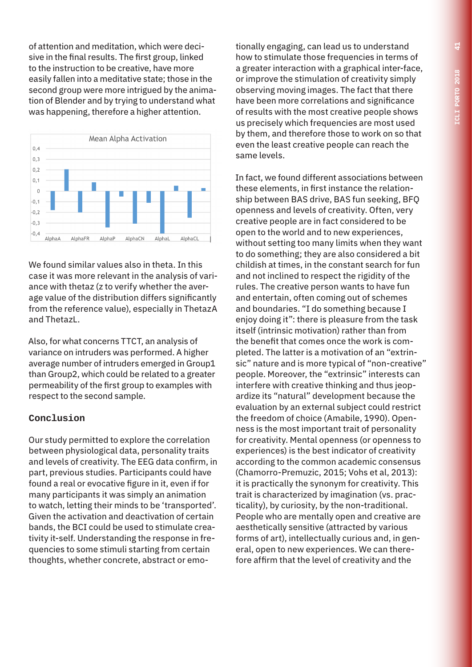of attention and meditation, which were decisive in the final results. The first group, linked to the instruction to be creative, have more easily fallen into a meditative state; those in the second group were more intrigued by the animation of Blender and by trying to understand what was happening, therefore a higher attention.



We found similar values also in theta. In this case it was more relevant in the analysis of variance with thetaz (z to verify whether the average value of the distribution differs significantly from the reference value), especially in ThetazA and ThetazL.

Also, for what concerns TTCT, an analysis of variance on intruders was performed. A higher average number of intruders emerged in Group1 than Group2, which could be related to a greater permeability of the first group to examples with respect to the second sample.

### **Conclusion**

Our study permitted to explore the correlation between physiological data, personality traits and levels of creativity. The EEG data confirm, in part, previous studies. Participants could have found a real or evocative figure in it, even if for many participants it was simply an animation to watch, letting their minds to be 'transported'. Given the activation and deactivation of certain bands, the BCI could be used to stimulate creativity it-self. Understanding the response in frequencies to some stimuli starting from certain thoughts, whether concrete, abstract or emotionally engaging, can lead us to understand how to stimulate those frequencies in terms of a greater interaction with a graphical inter-face, or improve the stimulation of creativity simply observing moving images. The fact that there have been more correlations and significance of results with the most creative people shows us precisely which frequencies are most used by them, and therefore those to work on so that even the least creative people can reach the same levels.

In fact, we found different associations between these elements, in first instance the relationship between BAS drive, BAS fun seeking, BFQ openness and levels of creativity. Often, very creative people are in fact considered to be open to the world and to new experiences, without setting too many limits when they want to do something; they are also considered a bit childish at times, in the constant search for fun and not inclined to respect the rigidity of the rules. The creative person wants to have fun and entertain, often coming out of schemes and boundaries. "I do something because I enjoy doing it": there is pleasure from the task itself (intrinsic motivation) rather than from the benefit that comes once the work is completed. The latter is a motivation of an "extrinsic" nature and is more typical of "non-creative" people. Moreover, the "extrinsic" interests can interfere with creative thinking and thus jeopardize its "natural" development because the evaluation by an external subject could restrict the freedom of choice (Amabile, 1990). Openness is the most important trait of personality for creativity. Mental openness (or openness to experiences) is the best indicator of creativity according to the common academic consensus (Chamorro-Premuzic, 2015; Vohs et al, 2013): it is practically the synonym for creativity. This trait is characterized by imagination (vs. practicality), by curiosity, by the non-traditional. People who are mentally open and creative are aesthetically sensitive (attracted by various forms of art), intellectually curious and, in general, open to new experiences. We can therefore affirm that the level of creativity and the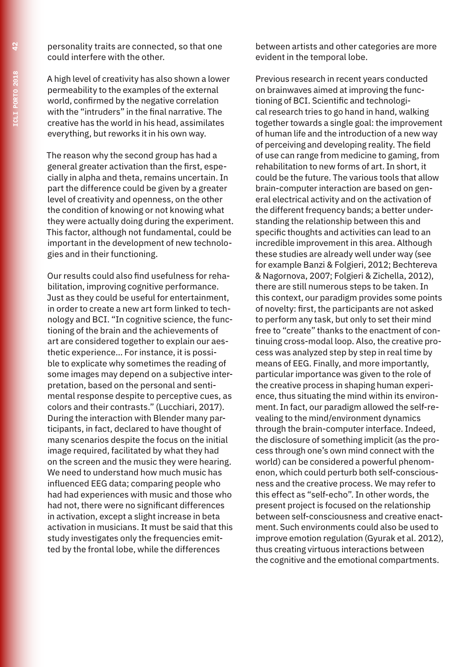personality traits are connected, so that one could interfere with the other.

A high level of creativity has also shown a lower permeability to the examples of the external world, confirmed by the negative correlation with the "intruders" in the final narrative. The creative has the world in his head, assimilates everything, but reworks it in his own way.

The reason why the second group has had a general greater activation than the first, especially in alpha and theta, remains uncertain. In part the difference could be given by a greater level of creativity and openness, on the other the condition of knowing or not knowing what they were actually doing during the experiment. This factor, although not fundamental, could be important in the development of new technologies and in their functioning.

Our results could also find usefulness for rehabilitation, improving cognitive performance. Just as they could be useful for entertainment, in order to create a new art form linked to technology and BCI. "In cognitive science, the functioning of the brain and the achievements of art are considered together to explain our aesthetic experience… For instance, it is possible to explicate why sometimes the reading of some images may depend on a subjective interpretation, based on the personal and sentimental response despite to perceptive cues, as colors and their contrasts." (Lucchiari, 2017). During the interaction with Blender many participants, in fact, declared to have thought of many scenarios despite the focus on the initial image required, facilitated by what they had on the screen and the music they were hearing. We need to understand how much music has influenced EEG data; comparing people who had had experiences with music and those who had not, there were no significant differences in activation, except a slight increase in beta activation in musicians. It must be said that this study investigates only the frequencies emitted by the frontal lobe, while the differences

between artists and other categories are more evident in the temporal lobe.

Previous research in recent years conducted on brainwaves aimed at improving the functioning of BCI. Scientific and technological research tries to go hand in hand, walking together towards a single goal: the improvement of human life and the introduction of a new way of perceiving and developing reality. The field of use can range from medicine to gaming, from rehabilitation to new forms of art. In short, it could be the future. The various tools that allow brain-computer interaction are based on general electrical activity and on the activation of the different frequency bands; a better understanding the relationship between this and specific thoughts and activities can lead to an incredible improvement in this area. Although these studies are already well under way (see for example Banzi & Folgieri, 2012; Bechtereva & Nagornova, 2007; Folgieri & Zichella, 2012), there are still numerous steps to be taken. In this context, our paradigm provides some points of novelty: first, the participants are not asked to perform any task, but only to set their mind free to "create" thanks to the enactment of continuing cross-modal loop. Also, the creative process was analyzed step by step in real time by means of EEG. Finally, and more importantly, particular importance was given to the role of the creative process in shaping human experience, thus situating the mind within its environment. In fact, our paradigm allowed the self-revealing to the mind/environment dynamics through the brain-computer interface. Indeed, the disclosure of something implicit (as the process through one's own mind connect with the world) can be considered a powerful phenomenon, which could perturb both self-consciousness and the creative process. We may refer to this effect as "self-echo". In other words, the present project is focused on the relationship between self-consciousness and creative enactment. Such environments could also be used to improve emotion regulation (Gyurak et al. 2012), thus creating virtuous interactions between the cognitive and the emotional compartments.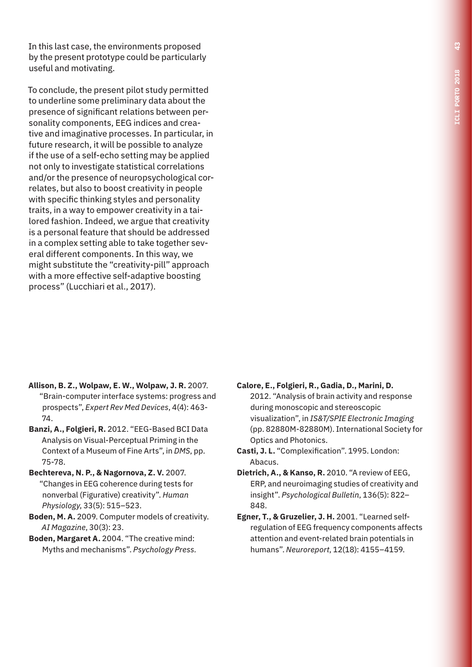In this last case, the environments proposed by the present prototype could be particularly useful and motivating.

To conclude, the present pilot study permitted to underline some preliminary data about the presence of significant relations between personality components, EEG indices and creative and imaginative processes. In particular, in future research, it will be possible to analyze if the use of a self-echo setting may be applied not only to investigate statistical correlations and/or the presence of neuropsychological correlates, but also to boost creativity in people with specific thinking styles and personality traits, in a way to empower creativity in a tailored fashion. Indeed, we argue that creativity is a personal feature that should be addressed in a complex setting able to take together several different components. In this way, we might substitute the "creativity-pill" approach with a more effective self-adaptive boosting process" (Lucchiari et al., 2017).

- **Allison, B. Z., Wolpaw, E. W., Wolpaw, J. R.** 2007. "Brain-computer interface systems: progress and prospects", *Expert Rev Med Devices*, 4(4): 463- 74.
- **Banzi, A., Folgieri, R.** 2012. "EEG-Based BCI Data Analysis on Visual-Perceptual Priming in the Context of a Museum of Fine Arts", in *DMS*, pp. 75-78.
- **Bechtereva, N. P., & Nagornova, Z. V.** 2007. "Changes in EEG coherence during tests for nonverbal (Figurative) creativity". *Human Physiology*, 33(5): 515–523.
- **Boden, M. A.** 2009. Computer models of creativity. *AI Magazine*, 30(3): 23.
- **Boden, Margaret A.** 2004. "The creative mind: Myths and mechanisms". *Psychology Press.*

**Calore, E., Folgieri, R., Gadia, D., Marini, D.** 2012. "Analysis of brain activity and response during monoscopic and stereoscopic visualization", in *IS&T/SPIE Electronic Imaging* (pp. 82880M-82880M). International Society for Optics and Photonics.

- **Casti, J. L.** "Complexification". 1995. London: Abacus.
- **Dietrich, A., & Kanso, R.** 2010. "A review of EEG, ERP, and neuroimaging studies of creativity and insight". *Psychological Bulletin*, 136(5): 822– 848.
- **Egner, T., & Gruzelier, J. H.** 2001. "Learned selfregulation of EEG frequency components affects attention and event-related brain potentials in humans". *Neuroreport*, 12(18): 4155–4159.